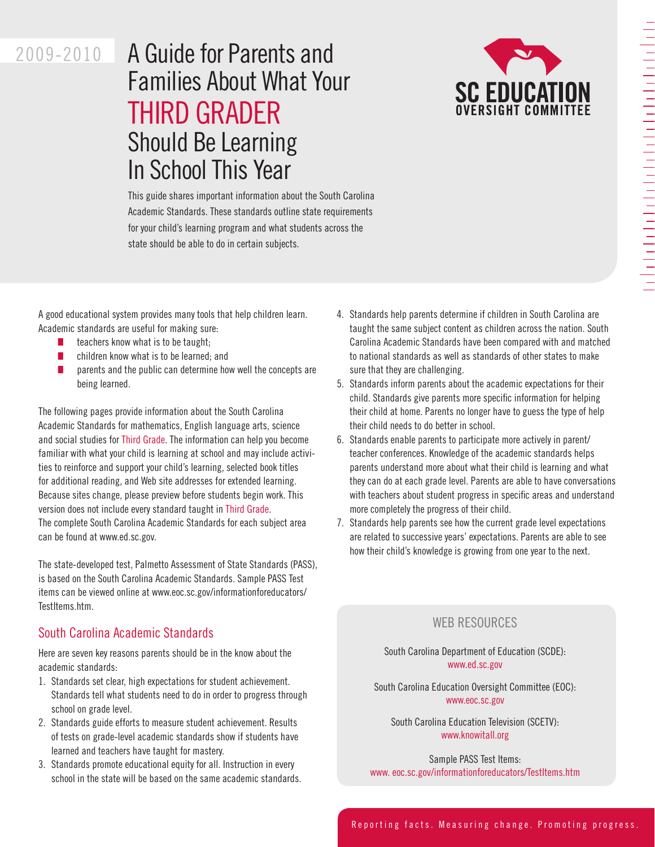# 

# 2009-2010

# A Guide for Parents and Families About What Your THIRD GRADER Should Be Learning In School This Year



This guide shares important information about the South Carolina Academic Standards. These standards outline state requirements for your child's learning program and what students across the state should be able to do in certain subjects.

A good educational system provides many tools that help children learn. Academic standards are useful for making sure:

- $\blacksquare$  teachers know what is to be taught;
- $\blacksquare$  children know what is to be learned; and
- $\blacksquare$  parents and the public can determine how well the concepts are being learned.

The following pages provide information about the South Carolina Academic Standards for mathematics, English language arts, science and social studies for Third Grade. The information can help you become familiar with what your child is learning at school and may include activities to reinforce and support your child's learning, selected book titles for additional reading, and Web site addresses for extended learning. Because sites change, please preview before students begin work. This version does not include every standard taught in Third Grade. The complete South Carolina Academic Standards for each subject area can be found at www.ed.sc.gov.

The state-developed test, Palmetto Assessment of State Standards (PASS), is based on the South Carolina Academic Standards. Sample PASS Test items can be viewed online at www.eoc.sc.gov/informationforeducators/ TestItems.htm.

## South Carolina Academic Standards

Here are seven key reasons parents should be in the know about the academic standards:

- 1. Standards set clear, high expectations for student achievement. Standards tell what students need to do in order to progress through school on grade level.
- 2. Standards guide efforts to measure student achievement. Results of tests on grade-level academic standards show if students have learned and teachers have taught for mastery.
- 3. Standards promote educational equity for all. Instruction in every school in the state will be based on the same academic standards.
- 4. Standards help parents determine if children in South Carolina are taught the same subject content as children across the nation. South Carolina Academic Standards have been compared with and matched to national standards as well as standards of other states to make sure that they are challenging.
- 5. Standards inform parents about the academic expectations for their child. Standards give parents more specific information for helping their child at home. Parents no longer have to guess the type of help their child needs to do better in school.
- 6. Standards enable parents to participate more actively in parent/ teacher conferences. Knowledge of the academic standards helps parents understand more about what their child is learning and what they can do at each grade level. Parents are able to have conversations with teachers about student progress in specific areas and understand more completely the progress of their child.
- 7. Standards help parents see how the current grade level expectations are related to successive years' expectations. Parents are able to see how their child's knowledge is growing from one year to the next.

# Web Resources

South Carolina Department of Education (SCDE): www.ed.sc.gov

South Carolina Education Oversight Committee (EOC): www.eoc.sc.gov

South Carolina Education Television (SCETV): www.knowitall.org

Sample PASS Test Items: www. eoc.sc.gov/informationforeducators/TestItems.htm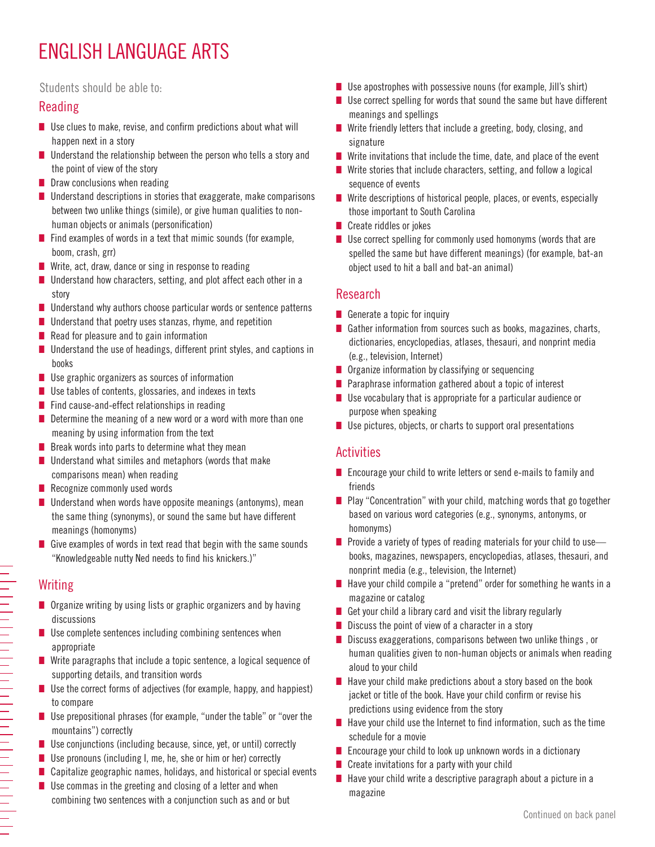# ENGLISH LANGUAGE ARTS

#### Students should be able to:

## Reading

- $\blacksquare$  Use clues to make, revise, and confirm predictions about what will happen next in a story
- $\blacksquare$  Understand the relationship between the person who tells a story and the point of view of the story
- $\blacksquare$  Draw conclusions when reading
- $\blacksquare$  Understand descriptions in stories that exaggerate, make comparisons between two unlike things (simile), or give human qualities to nonhuman objects or animals (personification)
- $\blacksquare$  Find examples of words in a text that mimic sounds (for example, boom, crash, grr)
- $\blacksquare$  Write, act, draw, dance or sing in response to reading
- $\blacksquare$  Understand how characters, setting, and plot affect each other in a story
- $\blacksquare$  Understand why authors choose particular words or sentence patterns
- $\blacksquare$  Understand that poetry uses stanzas, rhyme, and repetition
- $\blacksquare$  Read for pleasure and to gain information
- $\blacksquare$  Understand the use of headings, different print styles, and captions in books
- $\blacksquare$  Use graphic organizers as sources of information
- $\blacksquare$  Use tables of contents, glossaries, and indexes in texts
- $\blacksquare$  Find cause-and-effect relationships in reading
- $\blacksquare$  Determine the meaning of a new word or a word with more than one meaning by using information from the text
- $\blacksquare$  Break words into parts to determine what they mean
- $\blacksquare$  Understand what similes and metaphors (words that make comparisons mean) when reading
- $\blacksquare$  Recognize commonly used words
- $\blacksquare$  Understand when words have opposite meanings (antonyms), mean the same thing (synonyms), or sound the same but have different meanings (homonyms)
- Give examples of words in text read that begin with the same sounds "Knowledgeable nutty Ned needs to find his knickers.)"

# **Writing**

- $\blacksquare$  Organize writing by using lists or graphic organizers and by having discussions
- $\blacksquare$  Use complete sentences including combining sentences when appropriate
- $\blacksquare$  Write paragraphs that include a topic sentence, a logical sequence of supporting details, and transition words
- $\blacksquare$  Use the correct forms of adjectives (for example, happy, and happiest) to compare
- Use prepositional phrases (for example, "under the table" or "over the mountains") correctly
- $\blacksquare$  Use conjunctions (including because, since, yet, or until) correctly
- Use pronouns (including I, me, he, she or him or her) correctly
- $\blacksquare$  Capitalize geographic names, holidays, and historical or special events
- $\blacksquare$  Use commas in the greeting and closing of a letter and when combining two sentences with a conjunction such as and or but
- $\blacksquare$  Use apostrophes with possessive nouns (for example, Jill's shirt)
- $\blacksquare$  Use correct spelling for words that sound the same but have different meanings and spellings
- $\blacksquare$  Write friendly letters that include a greeting, body, closing, and signature
- $\blacksquare$  Write invitations that include the time, date, and place of the event
- $\blacksquare$  Write stories that include characters, setting, and follow a logical sequence of events
- $\blacksquare$  Write descriptions of historical people, places, or events, especially those important to South Carolina
- $\blacksquare$  Create riddles or jokes
- $\blacksquare$  Use correct spelling for commonly used homonyms (words that are spelled the same but have different meanings) (for example, bat-an object used to hit a ball and bat-an animal)

#### Research

- Generate a topic for inquiry
- Gather information from sources such as books, magazines, charts, dictionaries, encyclopedias, atlases, thesauri, and nonprint media (e.g., television, Internet)
- $\blacksquare$  Organize information by classifying or sequencing
- $\blacksquare$  Paraphrase information gathered about a topic of interest
- $\blacksquare$  Use vocabulary that is appropriate for a particular audience or purpose when speaking
- $\blacksquare$  Use pictures, objects, or charts to support oral presentations

## Activities

- $\blacksquare$  Encourage your child to write letters or send e-mails to family and friends
- $\blacksquare$  Play "Concentration" with your child, matching words that go together based on various word categories (e.g., synonyms, antonyms, or homonyms)
- **n** Provide a variety of types of reading materials for your child to use books, magazines, newspapers, encyclopedias, atlases, thesauri, and nonprint media (e.g., television, the Internet)
- $\blacksquare$  Have your child compile a "pretend" order for something he wants in a magazine or catalog
- Get your child a library card and visit the library regularly
- $\blacksquare$  Discuss the point of view of a character in a story
- $\blacksquare$  Discuss exaggerations, comparisons between two unlike things, or human qualities given to non-human objects or animals when reading aloud to your child
- $\blacksquare$  Have your child make predictions about a story based on the book jacket or title of the book. Have your child confirm or revise his predictions using evidence from the story
- $\blacksquare$  Have your child use the Internet to find information, such as the time schedule for a movie
- $\blacksquare$  Encourage your child to look up unknown words in a dictionary
- $\blacksquare$  Create invitations for a party with your child
- $\blacksquare$  Have your child write a descriptive paragraph about a picture in a magazine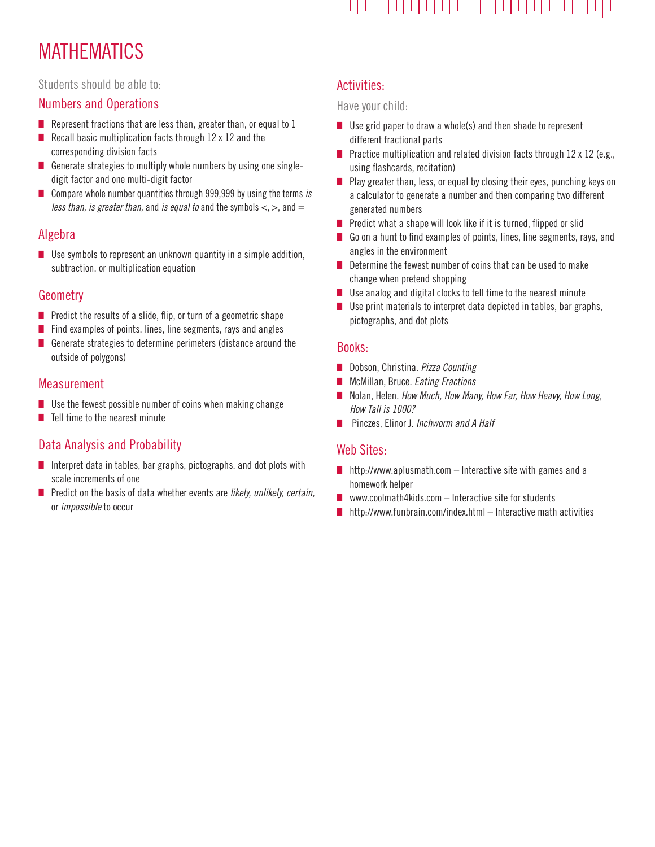# 

# **MATHEMATICS**

#### Students should be able to:

#### Numbers and Operations

- Represent fractions that are less than, greater than, or equal to  $1$
- Recall basic multiplication facts through  $12 \times 12$  and the corresponding division facts
- Generate strategies to multiply whole numbers by using one singledigit factor and one multi-digit factor
- Compare whole number quantities through 999,999 by using the terms is less than, is greater than, and is equal to and the symbols  $\lt$ ,  $>$ , and  $=$

## Algebra

 $\blacksquare$  Use symbols to represent an unknown quantity in a simple addition, subtraction, or multiplication equation

#### Geometry

- $\blacksquare$  Predict the results of a slide, flip, or turn of a geometric shape
- $\blacksquare$  Find examples of points, lines, line segments, rays and angles
- $\blacksquare$  Generate strategies to determine perimeters (distance around the outside of polygons)

#### Measurement

- $\blacksquare$  Use the fewest possible number of coins when making change
- $\blacksquare$  Tell time to the nearest minute

# Data Analysis and Probability

- $\blacksquare$  Interpret data in tables, bar graphs, pictographs, and dot plots with scale increments of one
- $\blacksquare$  Predict on the basis of data whether events are likely, unlikely, certain, or impossible to occur

# Activities:

#### Have your child:

- $\blacksquare$  Use grid paper to draw a whole(s) and then shade to represent different fractional parts
- Practice multiplication and related division facts through  $12 \times 12$  (e.g., using flashcards, recitation)
- Play greater than, less, or equal by closing their eyes, punching keys on a calculator to generate a number and then comparing two different generated numbers
- $\blacksquare$  Predict what a shape will look like if it is turned, flipped or slid
- Go on a hunt to find examples of points, lines, line segments, rays, and angles in the environment
- $\blacksquare$  Determine the fewest number of coins that can be used to make change when pretend shopping
- $\blacksquare$  Use analog and digital clocks to tell time to the nearest minute
- $\blacksquare$  Use print materials to interpret data depicted in tables, bar graphs, pictographs, and dot plots

#### Books:

- Dobson, Christina. Pizza Counting
- **n** McMillan, Bruce. Eating Fractions
- Nolan, Helen. How Much, How Many, How Far, How Heavy, How Long, How Tall is 1000?
- **n** Pinczes, Elinor J. Inchworm and A Half

#### Web Sites:

- $\blacksquare$  http://www.aplusmath.com Interactive site with games and a homework helper
- **N** www.coolmath4kids.com Interactive site for students
- $\blacksquare$  http://www.funbrain.com/index.html Interactive math activities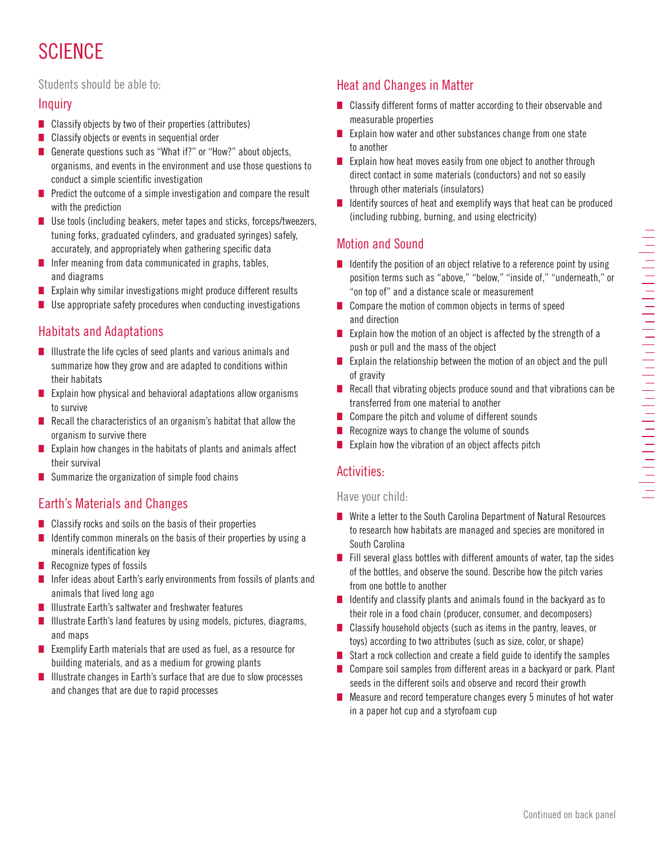# **SCIENCE**

#### Students should be able to:

## **Inquiry**

- $\blacksquare$  Classify objects by two of their properties (attributes)
- $\blacksquare$  Classify objects or events in sequential order
- Generate questions such as "What if?" or "How?" about objects, organisms, and events in the environment and use those questions to conduct a simple scientific investigation
- $\blacksquare$  Predict the outcome of a simple investigation and compare the result with the prediction
- $\blacksquare$  Use tools (including beakers, meter tapes and sticks, forceps/tweezers, tuning forks, graduated cylinders, and graduated syringes) safely, accurately, and appropriately when gathering specific data
- $\blacksquare$  Infer meaning from data communicated in graphs, tables, and diagrams
- **n** Explain why similar investigations might produce different results
- $\blacksquare$  Use appropriate safety procedures when conducting investigations

# Habitats and Adaptations

- $\blacksquare$  Illustrate the life cycles of seed plants and various animals and summarize how they grow and are adapted to conditions within their habitats
- $\blacksquare$  Explain how physical and behavioral adaptations allow organisms to survive
- $\blacksquare$  Recall the characteristics of an organism's habitat that allow the organism to survive there
- Explain how changes in the habitats of plants and animals affect their survival
- $\blacksquare$  Summarize the organization of simple food chains

# Earth's Materials and Changes

- $\blacksquare$  Classify rocks and soils on the basis of their properties
- $\blacksquare$  Identify common minerals on the basis of their properties by using a minerals identification key
- $\blacksquare$  Recognize types of fossils
- Infer ideas about Earth's early environments from fossils of plants and animals that lived long ago
- $\blacksquare$  Illustrate Earth's saltwater and freshwater features
- $\blacksquare$  Illustrate Earth's land features by using models, pictures, diagrams, and maps
- Exemplify Earth materials that are used as fuel, as a resource for building materials, and as a medium for growing plants
- Illustrate changes in Earth's surface that are due to slow processes and changes that are due to rapid processes

# Heat and Changes in Matter

- $\blacksquare$  Classify different forms of matter according to their observable and measurable properties
- $\blacksquare$  Explain how water and other substances change from one state to another
- $\blacksquare$  Explain how heat moves easily from one object to another through direct contact in some materials (conductors) and not so easily through other materials (insulators)
- $\blacksquare$  Identify sources of heat and exemplify ways that heat can be produced (including rubbing, burning, and using electricity)

## Motion and Sound

- $\blacksquare$  Identify the position of an object relative to a reference point by using position terms such as "above," "below," "inside of," "underneath," or "on top of" and a distance scale or measurement
- $\blacksquare$  Compare the motion of common objects in terms of speed and direction
- Explain how the motion of an object is affected by the strength of a push or pull and the mass of the object
- Explain the relationship between the motion of an object and the pull of gravity
- $\blacksquare$  Recall that vibrating objects produce sound and that vibrations can be transferred from one material to another
- $\Box$  Compare the pitch and volume of different sounds
- $\blacksquare$  Recognize ways to change the volume of sounds
- Explain how the vibration of an object affects pitch

#### Activities:

#### Have your child:

- $\blacksquare$  Write a letter to the South Carolina Department of Natural Resources to research how habitats are managed and species are monitored in South Carolina
- $\blacksquare$  Fill several glass bottles with different amounts of water, tap the sides of the bottles, and observe the sound. Describe how the pitch varies from one bottle to another
- $\blacksquare$  Identify and classify plants and animals found in the backyard as to their role in a food chain (producer, consumer, and decomposers)
- $\blacksquare$  Classify household objects (such as items in the pantry, leaves, or toys) according to two attributes (such as size, color, or shape)
- Start a rock collection and create a field guide to identify the samples
- $\blacksquare$  Compare soil samples from different areas in a backyard or park. Plant seeds in the different soils and observe and record their growth
- $\blacksquare$  Measure and record temperature changes every 5 minutes of hot water in a paper hot cup and a styrofoam cup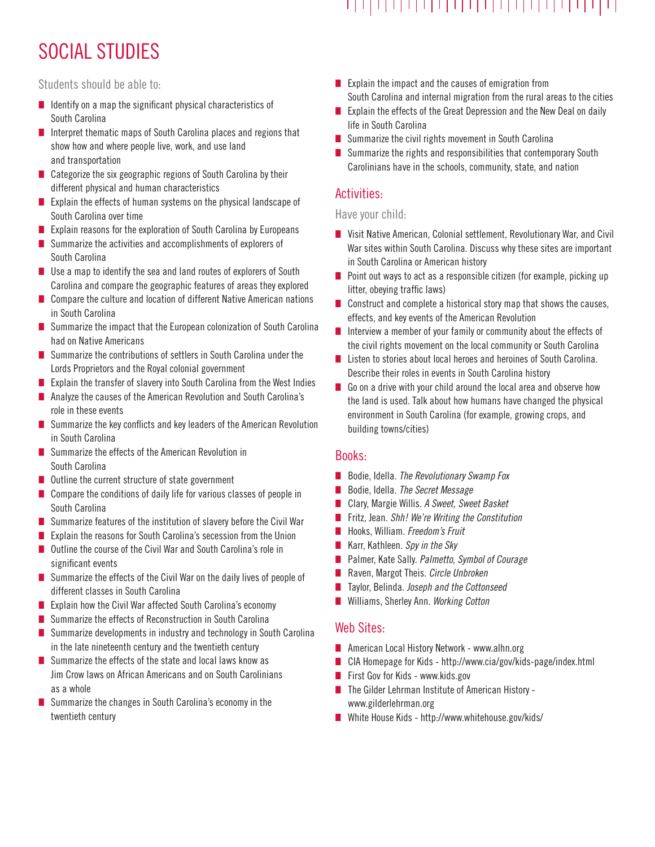# 

# SOCIAL STUDIES

Students should be able to:

- $\blacksquare$  Identify on a map the significant physical characteristics of South Carolina
- $\blacksquare$  Interpret thematic maps of South Carolina places and regions that show how and where people live, work, and use land and transportation
- $\blacksquare$  Categorize the six geographic regions of South Carolina by their different physical and human characteristics
- Explain the effects of human systems on the physical landscape of South Carolina over time
- $\blacksquare$  Explain reasons for the exploration of South Carolina by Europeans
- $\blacksquare$  Summarize the activities and accomplishments of explorers of South Carolina
- $\blacksquare$  Use a map to identify the sea and land routes of explorers of South Carolina and compare the geographic features of areas they explored
- $\blacksquare$  Compare the culture and location of different Native American nations in South Carolina
- Summarize the impact that the European colonization of South Carolina had on Native Americans
- $\blacksquare$  Summarize the contributions of settlers in South Carolina under the Lords Proprietors and the Royal colonial government
- Explain the transfer of slavery into South Carolina from the West Indies
- $\blacksquare$  Analyze the causes of the American Revolution and South Carolina's role in these events
- $\blacksquare$  Summarize the key conflicts and key leaders of the American Revolution in South Carolina
- $\blacksquare$  Summarize the effects of the American Revolution in South Carolina
- $\blacksquare$  Outline the current structure of state government
- Compare the conditions of daily life for various classes of people in South Carolina
- $\blacksquare$  Summarize features of the institution of slavery before the Civil War
- Explain the reasons for South Carolina's secession from the Union
- $\blacksquare$  Outline the course of the Civil War and South Carolina's role in significant events
- $\blacksquare$  Summarize the effects of the Civil War on the daily lives of people of different classes in South Carolina
- Explain how the Civil War affected South Carolina's economy
- Summarize the effects of Reconstruction in South Carolina
- Summarize developments in industry and technology in South Carolina in the late nineteenth century and the twentieth century
- $\blacksquare$  Summarize the effects of the state and local laws know as Jim Crow laws on African Americans and on South Carolinians as a whole
- $\blacksquare$  Summarize the changes in South Carolina's economy in the twentieth century
- $\blacksquare$  Explain the impact and the causes of emigration from South Carolina and internal migration from the rural areas to the cities
- Explain the effects of the Great Depression and the New Deal on daily life in South Carolina
- $\blacksquare$  Summarize the civil rights movement in South Carolina
- $\blacksquare$  Summarize the rights and responsibilities that contemporary South Carolinians have in the schools, community, state, and nation

## Activities:

#### Have your child:

- Visit Native American, Colonial settlement, Revolutionary War, and Civil War sites within South Carolina. Discuss why these sites are important in South Carolina or American history
- $\blacksquare$  Point out ways to act as a responsible citizen (for example, picking up litter, obeying traffic laws)
- $\blacksquare$  Construct and complete a historical story map that shows the causes, effects, and key events of the American Revolution
- $\blacksquare$  Interview a member of your family or community about the effects of the civil rights movement on the local community or South Carolina
- Listen to stories about local heroes and heroines of South Carolina. Describe their roles in events in South Carolina history
- $\Box$  Go on a drive with your child around the local area and observe how the land is used. Talk about how humans have changed the physical environment in South Carolina (for example, growing crops, and building towns/cities)

#### Books:

- $\blacksquare$  Bodie, Idella. The Revolutionary Swamp Fox
- Bodie, Idella. The Secret Message
- Clary, Margie Willis. A Sweet, Sweet Basket
- Fritz, Jean. Shh! We're Writing the Constitution
- Hooks, William. Freedom's Fruit
- Karr, Kathleen. Spy in the Sky
- Palmer, Kate Sally. Palmetto, Symbol of Courage
- Raven, Margot Theis. Circle Unbroken
- Taylor, Belinda. Joseph and the Cottonseed
- Williams, Sherley Ann. Working Cotton

## Web Sites:

- American Local History Network www.alhn.org
- CIA Homepage for Kids http://www.cia/gov/kids-page/index.html
- First Gov for Kids www.kids.gov
- $\blacksquare$  The Gilder Lehrman Institute of American History www.gilderlehrman.org
- $\blacksquare$  White House Kids http://www.whitehouse.gov/kids/